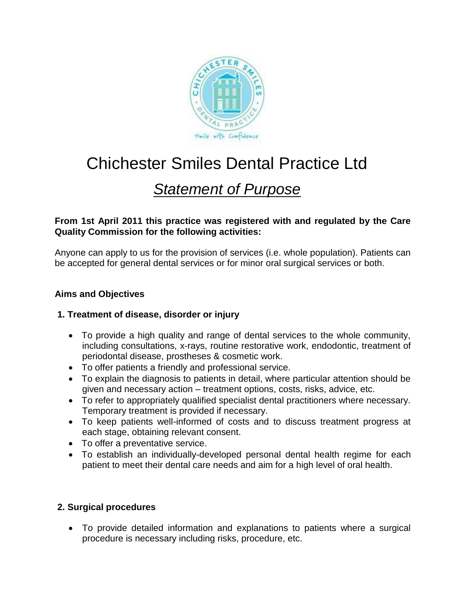

# Chichester Smiles Dental Practice Ltd

# *Statement of Purpose*

# **From 1st April 2011 this practice was registered with and regulated by the Care Quality Commission for the following activities:**

Anyone can apply to us for the provision of services (i.e. whole population). Patients can be accepted for general dental services or for minor oral surgical services or both.

# **Aims and Objectives**

# **1. Treatment of disease, disorder or injury**

- To provide a high quality and range of dental services to the whole community, including consultations, x-rays, routine restorative work, endodontic, treatment of periodontal disease, prostheses & cosmetic work.
- To offer patients a friendly and professional service.
- To explain the diagnosis to patients in detail, where particular attention should be given and necessary action – treatment options, costs, risks, advice, etc.
- To refer to appropriately qualified specialist dental practitioners where necessary. Temporary treatment is provided if necessary.
- To keep patients well-informed of costs and to discuss treatment progress at each stage, obtaining relevant consent.
- To offer a preventative service.
- To establish an individually-developed personal dental health regime for each patient to meet their dental care needs and aim for a high level of oral health.

# **2. Surgical procedures**

 To provide detailed information and explanations to patients where a surgical procedure is necessary including risks, procedure, etc.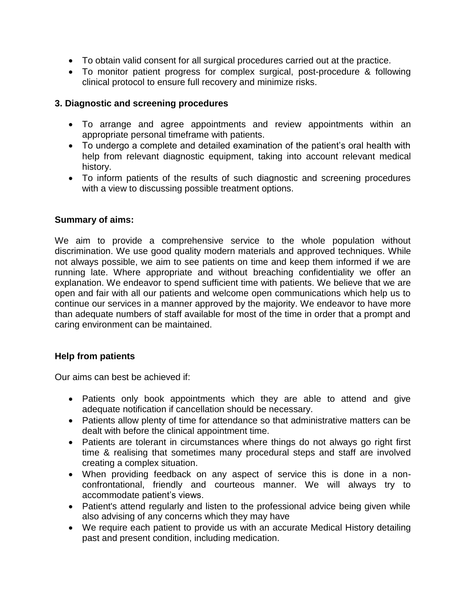- To obtain valid consent for all surgical procedures carried out at the practice.
- To monitor patient progress for complex surgical, post-procedure & following clinical protocol to ensure full recovery and minimize risks.

### **3. Diagnostic and screening procedures**

- To arrange and agree appointments and review appointments within an appropriate personal timeframe with patients.
- To undergo a complete and detailed examination of the patient's oral health with help from relevant diagnostic equipment, taking into account relevant medical history.
- To inform patients of the results of such diagnostic and screening procedures with a view to discussing possible treatment options.

# **Summary of aims:**

We aim to provide a comprehensive service to the whole population without discrimination. We use good quality modern materials and approved techniques. While not always possible, we aim to see patients on time and keep them informed if we are running late. Where appropriate and without breaching confidentiality we offer an explanation. We endeavor to spend sufficient time with patients. We believe that we are open and fair with all our patients and welcome open communications which help us to continue our services in a manner approved by the majority. We endeavor to have more than adequate numbers of staff available for most of the time in order that a prompt and caring environment can be maintained.

#### **Help from patients**

Our aims can best be achieved if:

- Patients only book appointments which they are able to attend and give adequate notification if cancellation should be necessary.
- Patients allow plenty of time for attendance so that administrative matters can be dealt with before the clinical appointment time.
- Patients are tolerant in circumstances where things do not always go right first time & realising that sometimes many procedural steps and staff are involved creating a complex situation.
- When providing feedback on any aspect of service this is done in a nonconfrontational, friendly and courteous manner. We will always try to accommodate patient's views.
- Patient's attend regularly and listen to the professional advice being given while also advising of any concerns which they may have
- We require each patient to provide us with an accurate Medical History detailing past and present condition, including medication.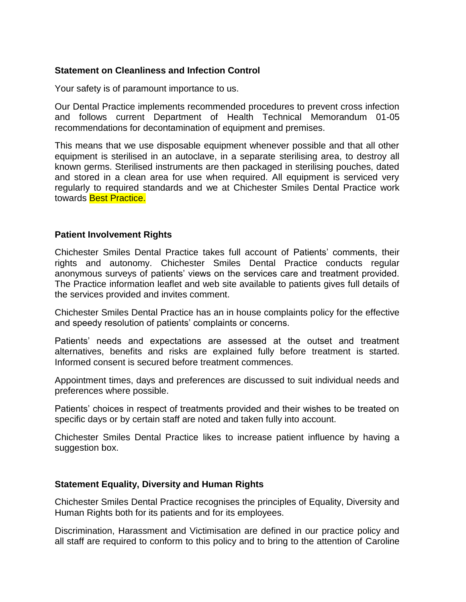#### **Statement on Cleanliness and Infection Control**

Your safety is of paramount importance to us.

Our Dental Practice implements recommended procedures to prevent cross infection and follows current Department of Health Technical Memorandum 01-05 recommendations for decontamination of equipment and premises.

This means that we use disposable equipment whenever possible and that all other equipment is sterilised in an autoclave, in a separate sterilising area, to destroy all known germs. Sterilised instruments are then packaged in sterilising pouches, dated and stored in a clean area for use when required. All equipment is serviced very regularly to required standards and we at Chichester Smiles Dental Practice work towards Best Practice.

#### **Patient Involvement Rights**

Chichester Smiles Dental Practice takes full account of Patients' comments, their rights and autonomy. Chichester Smiles Dental Practice conducts regular anonymous surveys of patients' views on the services care and treatment provided. The Practice information leaflet and web site available to patients gives full details of the services provided and invites comment.

Chichester Smiles Dental Practice has an in house complaints policy for the effective and speedy resolution of patients' complaints or concerns.

Patients' needs and expectations are assessed at the outset and treatment alternatives, benefits and risks are explained fully before treatment is started. Informed consent is secured before treatment commences.

Appointment times, days and preferences are discussed to suit individual needs and preferences where possible.

Patients' choices in respect of treatments provided and their wishes to be treated on specific days or by certain staff are noted and taken fully into account.

Chichester Smiles Dental Practice likes to increase patient influence by having a suggestion box.

#### **Statement Equality, Diversity and Human Rights**

Chichester Smiles Dental Practice recognises the principles of Equality, Diversity and Human Rights both for its patients and for its employees.

Discrimination, Harassment and Victimisation are defined in our practice policy and all staff are required to conform to this policy and to bring to the attention of Caroline